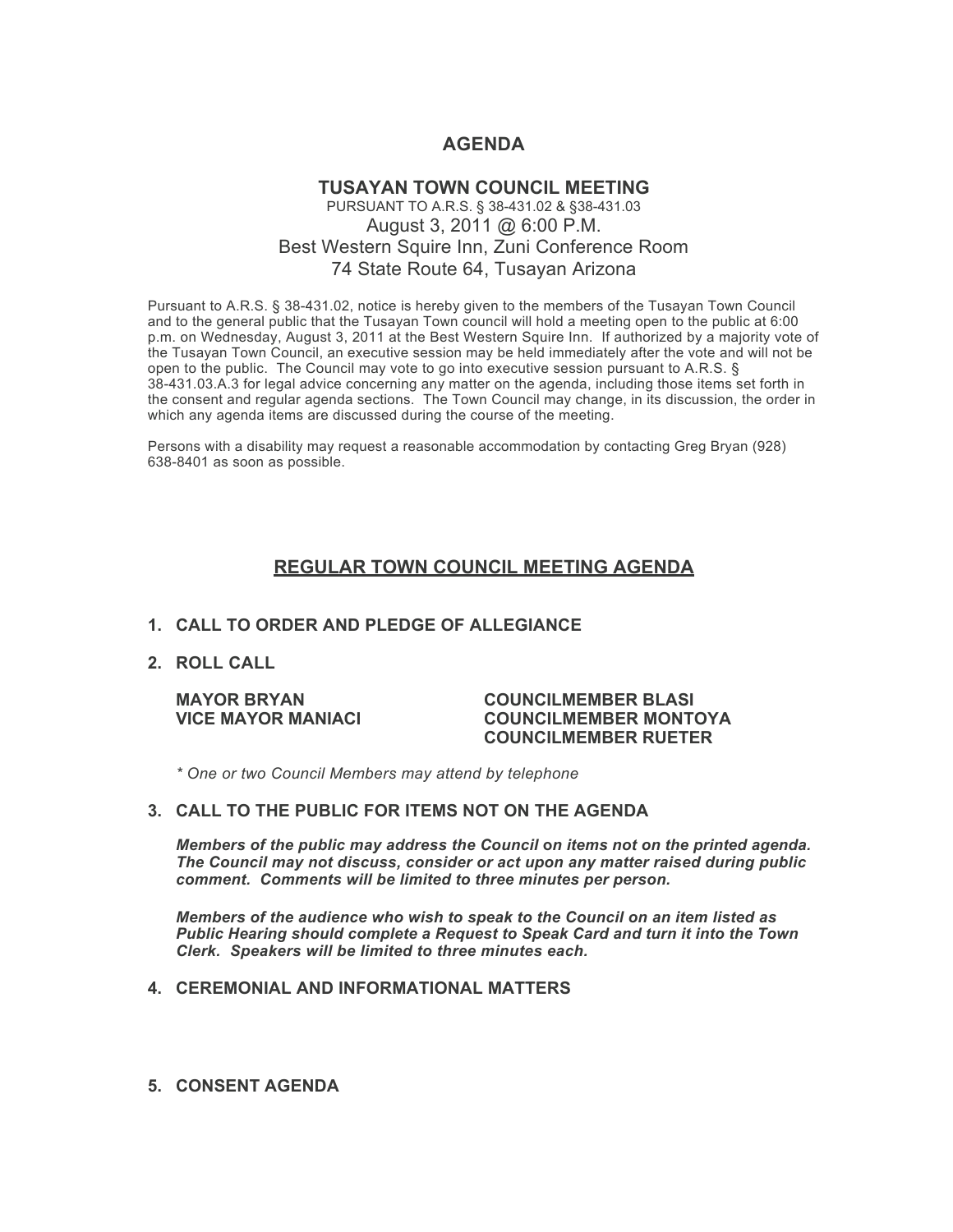# **AGENDA**

## **TUSAYAN TOWN COUNCIL MEETING** PURSUANT TO A.R.S. § 38-431.02 & §38-431.03 August 3, 2011 @ 6:00 P.M. Best Western Squire Inn, Zuni Conference Room 74 State Route 64, Tusayan Arizona

Pursuant to A.R.S. § 38-431.02, notice is hereby given to the members of the Tusayan Town Council and to the general public that the Tusayan Town council will hold a meeting open to the public at 6:00 p.m. on Wednesday, August 3, 2011 at the Best Western Squire Inn. If authorized by a majority vote of the Tusayan Town Council, an executive session may be held immediately after the vote and will not be open to the public. The Council may vote to go into executive session pursuant to A.R.S. § 38-431.03.A.3 for legal advice concerning any matter on the agenda, including those items set forth in the consent and regular agenda sections. The Town Council may change, in its discussion, the order in which any agenda items are discussed during the course of the meeting.

Persons with a disability may request a reasonable accommodation by contacting Greg Bryan (928) 638-8401 as soon as possible.

## **REGULAR TOWN COUNCIL MEETING AGENDA**

### **1. CALL TO ORDER AND PLEDGE OF ALLEGIANCE**

**2. ROLL CALL**

#### **MAYOR BRYAN COUNCILMEMBER BLASI VICE MAYOR MANIACI COUNCILMEMBER MONTOYA COUNCILMEMBER RUETER**

*\* One or two Council Members may attend by telephone*

#### **3. CALL TO THE PUBLIC FOR ITEMS NOT ON THE AGENDA**

*Members of the public may address the Council* **o***n items not on the printed agenda. The Council may not discuss, consider or act upon any matter raised during public comment. Comments will be limited to three minutes per person.*

*Members of the audience who wish to speak to the Council on an item listed as Public Hearing should complete a Request to Speak Card and turn it into the Town Clerk. Speakers will be limited to three minutes each.*

## **4. CEREMONIAL AND INFORMATIONAL MATTERS**

**5. CONSENT AGENDA**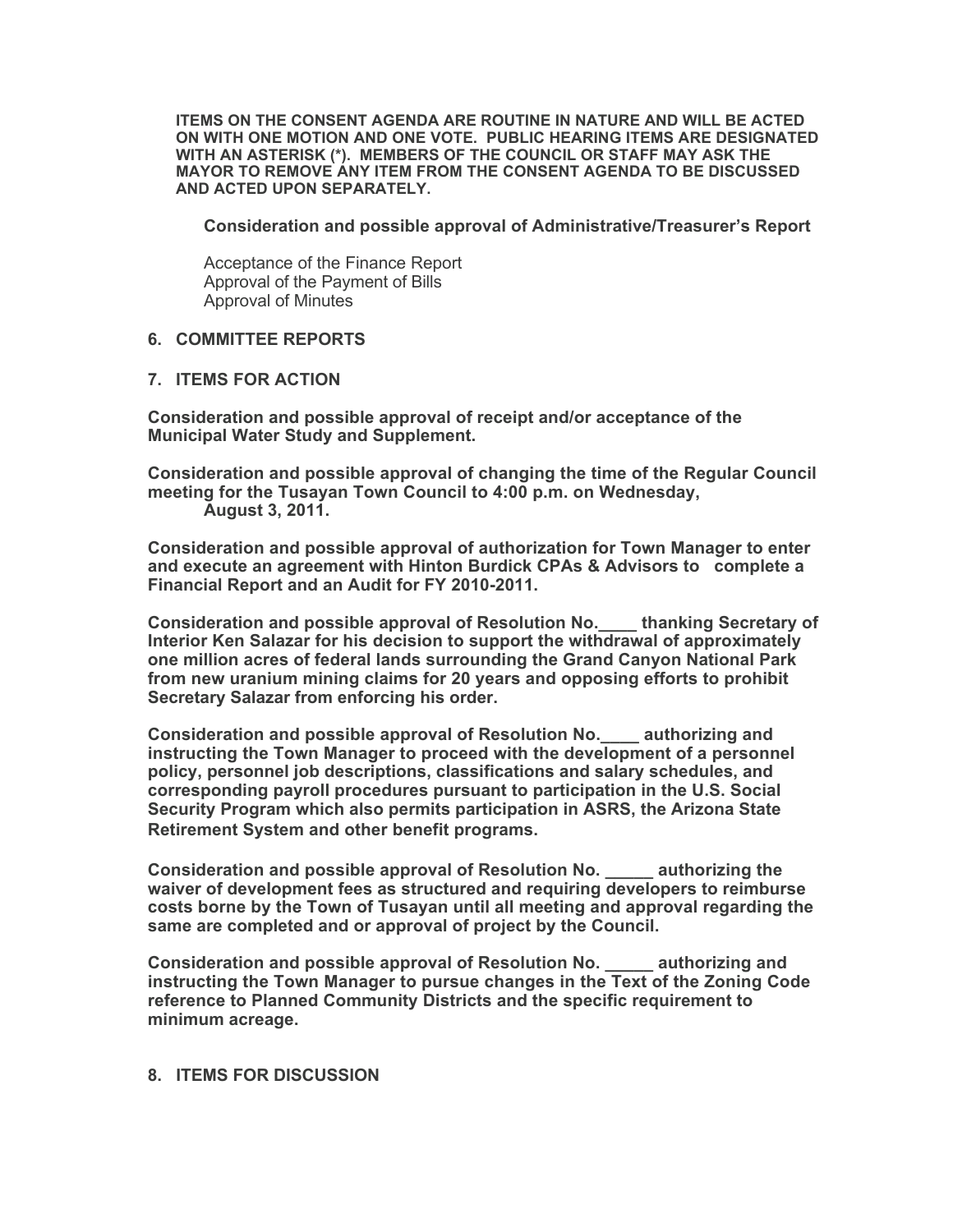**ITEMS ON THE CONSENT AGENDA ARE ROUTINE IN NATURE AND WILL BE ACTED ON WITH ONE MOTION AND ONE VOTE. PUBLIC HEARING ITEMS ARE DESIGNATED WITH AN ASTERISK (\*). MEMBERS OF THE COUNCIL OR STAFF MAY ASK THE MAYOR TO REMOVE ANY ITEM FROM THE CONSENT AGENDA TO BE DISCUSSED AND ACTED UPON SEPARATELY.**

**Consideration and possible approval of Administrative/Treasurer's Report**

Acceptance of the Finance Report Approval of the Payment of Bills Approval of Minutes

## **6. COMMITTEE REPORTS**

#### **7. ITEMS FOR ACTION**

**Consideration and possible approval of receipt and/or acceptance of the Municipal Water Study and Supplement.** 

**Consideration and possible approval of changing the time of the Regular Council meeting for the Tusayan Town Council to 4:00 p.m. on Wednesday, August 3, 2011.** 

**Consideration and possible approval of authorization for Town Manager to enter and execute an agreement with Hinton Burdick CPAs & Advisors to complete a Financial Report and an Audit for FY 2010-2011.**

**Consideration and possible approval of Resolution No.\_\_\_\_ thanking Secretary of Interior Ken Salazar for his decision to support the withdrawal of approximately one million acres of federal lands surrounding the Grand Canyon National Park from new uranium mining claims for 20 years and opposing efforts to prohibit Secretary Salazar from enforcing his order.**

**Consideration and possible approval of Resolution No.\_\_\_\_ authorizing and instructing the Town Manager to proceed with the development of a personnel policy, personnel job descriptions, classifications and salary schedules, and corresponding payroll procedures pursuant to participation in the U.S. Social Security Program which also permits participation in ASRS, the Arizona State Retirement System and other benefit programs.**

**Consideration and possible approval of Resolution No. \_\_\_\_\_ authorizing the waiver of development fees as structured and requiring developers to reimburse costs borne by the Town of Tusayan until all meeting and approval regarding the same are completed and or approval of project by the Council.** 

**Consideration and possible approval of Resolution No. \_\_\_\_\_ authorizing and instructing the Town Manager to pursue changes in the Text of the Zoning Code reference to Planned Community Districts and the specific requirement to minimum acreage.**

### **8. ITEMS FOR DISCUSSION**